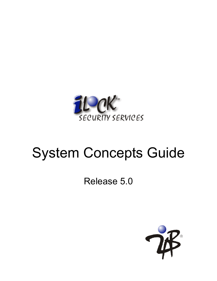

# System Concepts Guide

# Release 5.0

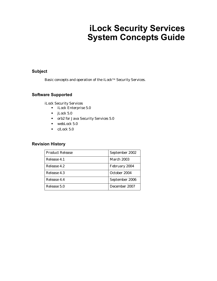# **iLock Security Services System Concepts Guide**

#### **Subject**

Basic concepts and operation of the iLock™ Security Services.

#### **Software Supported**

iLock Security Services

- **•** iLock Enterprise 5.0
- **•** jLock 5.0
- **•** orb2 for Java Security Services 5.0
- **•** webLock 5.0
- **•** c/Lock 5.0

#### **Revision History**

| <b>Product Release</b> | September 2002    |
|------------------------|-------------------|
| Release 4.1            | <b>March 2003</b> |
| Release 4.2            | February 2004     |
| Release 4.3            | October 2004      |
| Release 4.4            | September 2006    |
| Release 5.0            | December 2007     |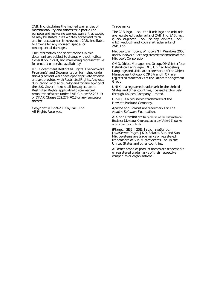2AB, Inc. disclaims the implied warranties of merchantability and fitness for a particular purpose and makes no express warranties except as may be stated in its written agreement with and for its customer. In no event is 2AB, Inc. liable to anyone for any indirect, special or consequential damages.

The information and specifications in this document are subject to change without notice. Consult your 2AB, Inc. marketing representative for product or service availability.

U.S. Government Restricted Rights. The Software Program(s) and Documentation furnished under this Agreement were developed at private expense and are provided with Restricted Rights. Any use, duplication, or disclosure by and for any agency of the U.S. Government shall be subject to the Restricted Rights applicable to commercial computer software under FAR Clause 52.227-19 or DFAR Clause 252.277-7013 or any successor thereof.

Copyright © 1999-2003 by 2AB, Inc. All Rights Reserved.

#### **Trademarks**

The 2AB logo, iLock, the iLock logo and orbLock are registered trademarks of 2AB, Inc. 2AB, Inc., c/Lock, eXplorer, iLock Security Services, jLock, orb2, webLock and Xcon are trademarks of 2AB, Inc.

Microsoft, Windows, Windows NT, Windows 2000 and Windows XP are registered trademarks of the Microsoft Corporation.

OMG, Object Management Group, OMG Interface Definition Language (IDL), Unified Modeling Language and UML are trademarks of the Object Management Group. CORBA and IIOP are registered trademarks of the Object Management Group.

UNIX is a registered trademark in the United States and other countries, licensed exclusively through X/Open Company Limited.

HP-UX is a registered trademarks of the Hewlett-Packard Company.

Apache and Tomcat are trademarks of The Apache Software Foundation.

AIX and Domino are trademarks of the International Business Machines Corporation in the United States or other countries or both.

iPlanet, J2EE, J2SE, Java, JavaScript, JavaServer Pages, JKD, Solaris, Sun and Sun Microsystems are trademarks or registered trademarks of Sun Microsystems, Inc. in the United States and other countries.

All other brand or product names are trademarks or registered trademarks of their respective companies or organizations.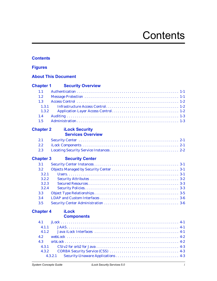# **Contents**

#### <span id="page-6-0"></span>**[Contents](#page-6-0)**

#### **[Figures](#page-8-0)**

#### **[About This Document](#page-10-0)**

| <b>Chapter 1</b> | <b>Security Overview</b>          |
|------------------|-----------------------------------|
| 1.1              |                                   |
| 1.2              |                                   |
| 1.3              |                                   |
| 1.3.1            |                                   |
| 1.3.2            |                                   |
| 1.4              |                                   |
| 1.5              |                                   |
| <b>Chapter 2</b> | <b>iLock Security</b>             |
|                  | <b>Services Overview</b>          |
| 2.1              |                                   |
| 2.2              |                                   |
| 2.3              |                                   |
| <b>Chapter 3</b> | <b>Security Center</b>            |
| 3.1              |                                   |
| 3.2              |                                   |
| 3.2.1            |                                   |
| 3.2.2            |                                   |
| 3.2.3            |                                   |
| 3.2.4            |                                   |
| 3.3              |                                   |
| 3.4              |                                   |
| 3.5              |                                   |
| <b>Chapter 4</b> | <b>iLock</b><br><b>Components</b> |
| 4.1              |                                   |
| 4.1.1            |                                   |
| 4.1.2            |                                   |
| 4.2              |                                   |
| 4.3              |                                   |

[4.3.1 CSIv2 for orb2 for Java . . . . . . . . . . . . . . . . . . . . . . . . . . . . . . . . . . . . . . . . . . 4-3](#page-26-0) [4.3.2 CORBA Security Service \(CSS\) . . . . . . . . . . . . . . . . . . . . . . . . . . . . . . . . . . . 4-3](#page-26-1) [4.3.2.1 Security-Unaware Applications . . . . . . . . . . . . . . . . . . . . . . . . . . . . . . . . 4-3](#page-26-2)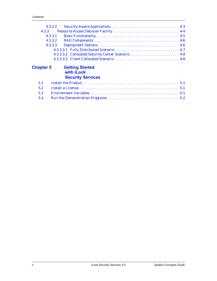|                  | 4.3.2.2                                                          |  |
|------------------|------------------------------------------------------------------|--|
| 4.3.3            |                                                                  |  |
|                  | 4.3.3.1                                                          |  |
| 4.3.3.2          |                                                                  |  |
| 4.3.3.3          |                                                                  |  |
|                  |                                                                  |  |
|                  | 4.3.3.3.2 Collocated Security Center Scenario 4-8                |  |
|                  |                                                                  |  |
|                  |                                                                  |  |
| <b>Chapter 5</b> | <b>Getting Started</b><br>with iLock<br><b>Security Services</b> |  |
| 5.1              |                                                                  |  |
| 5.2              |                                                                  |  |
| 5.3              |                                                                  |  |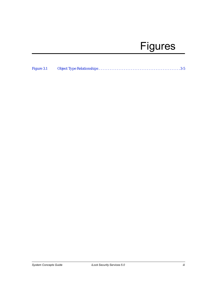# Figures

<span id="page-8-0"></span>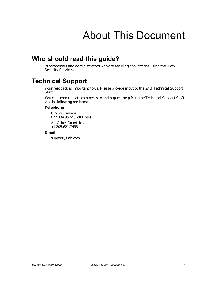# About This Document

# <span id="page-10-0"></span>**Who should read this guide?**

Programmers and administrators who are securing applications using the iLock Security Services.

# <span id="page-10-1"></span>**Technical Support**

Your feedback is important to us. Please provide input to the 2AB Technical Support Staff.

You can communicate comments to and request help from the Technical Support Staff via the following methods:

#### **Telephone**

U.S. or Canada 877.334.9572 (Toll Free)

All Other Countries +1.205.621.7455

#### **Email**

support@2ab.com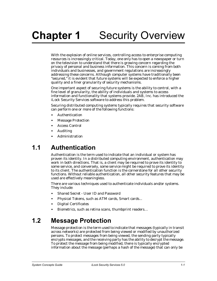<span id="page-12-0"></span>With the explosion of online services, controlling access to enterprise computing resources is increasingly critical. Today, one only has to open a newspaper or turn on the television to understand that there is growing concern regarding the privacy of personal and business information. This concern is coming from both individuals and businesses, and government regulations are increasingly addressing these concerns. Although computer systems have traditionally been "secured," it is evident that future systems will be expected to enforce a higher quality and a finer granularity of security mechanisms.

One important aspect of securing future systems is the ability to control, with a fine level of granularity, the ability of individuals and systems to access information and functionality that systems provide. 2AB, Inc. has introduced the iLock Security Services software to address this problem.

Securing distributed computing systems typically requires that security software can perform one or more of the following functions:

- **•** Authentication
- **•** Message Protection
- **•** Access Control
- **•** Auditing
- <span id="page-12-3"></span>**•** Administration

# <span id="page-12-1"></span>**1.1 Authentication**

Authentication is the term used to indicate that an individual or system has proven its identity. In a distributed computing environment, authentication may work in both directions. That is, a client may be required to prove its identity to some service, and conversely, some service might be required to prove its identity to its client. The authentication function is the cornerstone for all other security functions. Without reliable authentication, all other security features that may be used are effectively meaningless.

There are various techniques used to authenticate individuals and/or systems. They include:

- **•** Shared Secret User ID and Password
- **•** Physical Tokens, such as ATM cards, Smart cards...
- **•** Digital Certificates
- <span id="page-12-4"></span>**•** Biometrics, such as retina scans, thumbprint readers…

# <span id="page-12-2"></span>**1.2 Message Protection**

Message protection is the term used to indicate that messages (typically in transit across networks) are protected from being viewed or modified by unauthorized persons. To protect messages from being viewed, the sending party typically encrypts messages, and the receiving party has the ability to decrypt the message. To protect the message from being modified, there is typically encrypted information about the message (perhaps a hash of the message) that can only be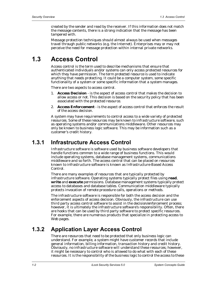created by the sender and read by the receiver. If this information does not match the message contents, there is a strong indication that the message has been tampered with.

<span id="page-13-3"></span>Message protection techniques should almost always be used when messages travel through public networks (e.g. the Internet). Enterprises may or may not perceive the need for message protection within internal private networks.

# <span id="page-13-0"></span>**1.3 Access Control**

Access control is the term used to describe mechanisms that ensure that authenticated individuals and/or systems can only access protected resources for which they have permission. The term *protected resource* is used to indicate anything that needs protecting. It could be a computer system, some specific functionality of a system or some specific information that a system manages.

There are two aspects to access control.

- 1. **Access Decision** is the aspect of access control that makes the decision to allow access or not. This decision is based on the security policy that has been associated with the protected resource.
- 2. **Access Enforcement** is the aspect of access control that enforces the result of the access decision.

A system may have requirements to control access to a wide variety of protected resources. Some of these resources may be known to infrastructure software, such as operating systems and/or communications middleware. Other resources may only be known to business logic software. This may be information such as a customer's credit history.

# <span id="page-13-1"></span>**1.3.1 Infrastructure Access Control**

<span id="page-13-5"></span>Infrastructure software is software used by business software developers that handle functions common to a wide range of business functions. This would include operating systems, database management systems, communications middleware and so forth. The access control that can be placed on resources known to infrastructure software is known as Infrastructure-Based Access Control.

There are many examples of resources that are typically protected by infrastructure software. Operating systems typically protect files using **read**, **write** and **execute** permissions. Database management systems typically protect access to databases and database tables. Communication middleware typically protects invocation of remote procedure calls, operations or methods.

The infrastructure software is responsible for both the access decision and the enforcement aspects of access decision. Obviously, the infrastructure can use third party access control software to assist in the decision/enforcement process; however, it is ultimately the infrastructure software's responsibility. Often, there are hooks that can be used by third party software to protect specific resources. For example, there are numerous products that specialize in protecting access to Web pages.

## <span id="page-13-2"></span>**1.3.2 Application Layer Access Control**

<span id="page-13-4"></span>There are resources that need to be protected that only business logic can understand. For example, a system might have customer records that include general information, billing information, transaction history and credit history. Obviously, no infrastructure software will understand these resources; however, it might be necessary to control who is allowed to do what with each of these resources. It is the responsibility of the business logic to control the access to these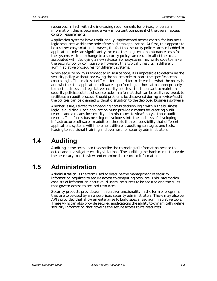resources. In fact, with the increasing requirements for privacy of personal information, this is becoming a very important component of the overall access control requirements.

Application systems have traditionally implemented access control for business logic resources within the code of the business application. At first, this appears to be a rather easy solution; however, the fact that security policies are embedded in application code can significantly increase the long-term maintenance costs for the system. A simple change to a security policy can result in all of the costs associated with deploying a new release. Some systems may write code to make the security policy configurable; however, this typically results in different administrative procedures for different systems.

When security policy is embedded in source code, it is impossible to determine the security policy without reviewing the source code to locate the specific access control logic. This makes it difficult for an auditor to determine what the policy is and whether the application software is performing authorization appropriately to meet business and legislative security policies. It is important to maintain security policies outside of source code, in a format that can be easily reviewed, to facilitate an audit process. Should problems be discovered during a review/audit, the policies can be changed without disruption to the deployed business software.

Another issue, related to embedding access decision logic within the business logic, is auditing. Each application must provide a means for creating audit records and a means for security administrators to view/analyze those audit records. This forces business logic developers into the business of developing infrastructure software. In addition, there is the real possibility that different applications systems will implement different auditing strategies and tools, leading to additional training and overhead for security administrators.

# <span id="page-14-0"></span>**1.4 Auditing**

<span id="page-14-2"></span>Auditing is the term used to describe the recording of information needed to detect and investigate security violations. The auditing mechanism must provide the necessary tools to view and examine the recorded information.

# <span id="page-14-1"></span>**1.5 Administration**

Administration is the term used to describe the management of security information required to secure access to computing resource. This information consists of information about valid users, resources to be secured and the rules that govern access to secured resources.

Security products provide administrative functionality in the form of programs that are to be used by an enterprise's security administrators. There may also be APIs provided that allow an enterprise to build specialized administrative tools. These APIs can also provide secured applications the ability to dynamically define security information that governs the secure access to its resources.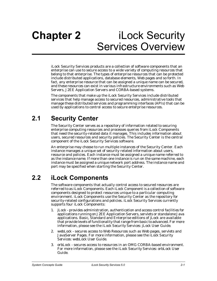# <span id="page-16-0"></span>**Chapter 2** iLock Security Services Overview

iLock Security Services products are a collection of software components that an enterprise can use to secure access to a wide variety of computing resources that belong to that enterprise. The types of enterprise resources that can be protected include distributed applications, database elements, Web pages and so forth. In fact, any enterprise resource that can be assigned a unique name can be secured, and these resources can exist in various infrastructure environments such as Web Servers, J2EE Application Servers and CORBA-based systems.

The components that make up the iLock Security Services include distributed services that help manage access to secured resources, administrative tools that manage these distributed services and programming interfaces (APIs) that can be used by applications to control access to secure enterprise resources.

# <span id="page-16-1"></span>**2.1 Security Center**

<span id="page-16-7"></span>The Security Center serves as a repository of information related to securing enterprise computing resources and processes queries from iLock Components that need the security-related data it manages. This includes information about users, secured resources and security policies. The Security Center is the central component of the iLock Security Services software.

An enterprise may choose to run multiple instances of the Security Center. Each instance manages a unique set of security related information about users, resource and policies. Each instance must be assigned a unique name referred to as the *instance name*. If more than one instance is run on the same machine, each instance must be assigned a unique network port address. The instance name and port may be specified when starting the Security Center.

# <span id="page-16-2"></span>**2.2 iLock Components**

<span id="page-16-3"></span>The software components that actually control access to secured resources are referred to as iLock Components. Each iLock Component is a collection of software components designed to protect resources unique to a particular computing environment. iLock Components use the Security Center as the repository for security-related configurations and policies. iLock Security Services currently supports four iLock Components:

- <span id="page-16-4"></span>1. jLock - provides administration, authentication and access control facilities for applications running on J2EE Application Servers, servlets or standalone Java applications. Basic, Standard and Enterprise editions of jLock are available that provide levels of functionality that range from basic to advanced. For more information, please see the *iLock Security Services: jLock User Guide.*
- <span id="page-16-6"></span>2. webLock - secures access to Web Resources such as Web pages, servlets and JavaServer Pages. For more information, please see the *iLock Security Services: webLock User Guide.*
- <span id="page-16-5"></span>3. orbLock - secures access to resources in an OMG CORBA-based environment. For more information, please see the *iLock Security Services: orbLock User Guide.*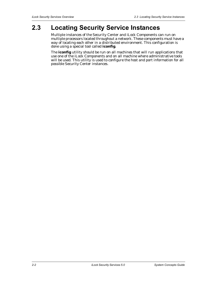# <span id="page-17-0"></span>**2.3 Locating Security Service Instances**

<span id="page-17-1"></span>Multiple instances of the Security Center and iLock Components can run on multiple processors located throughout a network. These components must have a way of locating each other in a distributed environment. This configuration is done using a special tool called **iconfig**.

The **iconfig** utility should be run on all machines that will run applications that use one of the iLock Components and on all machine where administrative tools will be used. This utility is used to configure the host and port information for all possible Security Center instances.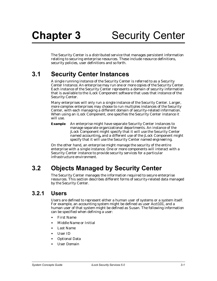<span id="page-18-5"></span><span id="page-18-4"></span><span id="page-18-0"></span>The Security Center is a distributed service that manages persistent information relating to securing enterprise resources. These include resource definitions, security policies, user definitions and so forth.

# <span id="page-18-1"></span>**3.1 Security Center Instances**

A single running instance of the Security Center is referred to as a Security Center Instance. An enterprise may run one or more copies of the Security Center. Each instance of the Security Center represents a domain of security information that is available to the iLock Component software that uses that instance of the Security Center.

Many enterprises will only run a single instance of the Security Center. Larger, more complex enterprises may choose to run multiples instances of the Security Center, with each managing a different domain of security-related information. When using an iLock Component, one specifies the Security Center instance it will use.

**Example** An enterprise might have separate Security Center instances to manage separate organizational departments. An instance of the jLock Component might specify that it will use the Security Center named *accounting***,** and a different use of the jLock Component might specify that it will use the Security Center named *engineering*.

On the other hand, an enterprise might manage the security of the entire enterprise with a single instance. One or more components will interact with a Security Center instance to provide security services for a particular infrastructure environment.

# <span id="page-18-2"></span>**3.2 Objects Managed by Security Center**

The Security Center manages the information required to secure enterprise resources. This section describes different forms of security-related data managed by the Security Center.

## <span id="page-18-3"></span>**3.2.1 Users**

<span id="page-18-6"></span>Users are defined to represent either a human user of systems or a system itself. For example, an accounting system might be defined as user *Acct101*, and a human user of that system might be defined as *Susan*. The following information can be specified when defining a user:

- **•** First Name
- **•** Middle Name or Initial
- **•** Last Name
- **•** User ID
- **•** Optional Data
- **•** User Domain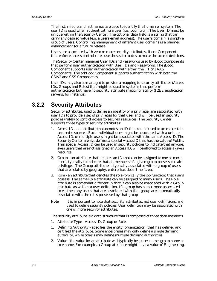<span id="page-19-9"></span>The first, middle and last names are used to identify the human or system. The user ID is used when authenticating a user (i.e. logging on). The User ID must be unique within the Security Center. The optional data field is a string that can carry any desired value (e.g. a users email address). The user's domain is simply a group of users. Controlling management of different user domains is a planned enhancement for a future release.

Users are associated with zero or more security attributes. iLock Components that enforce access control rules use these attributes to make the access decisions.

<span id="page-19-8"></span>The Security Center manages User IDs and Passwords used by iLock Components that perform user authentication with User IDs and Passwords. The jLock Component supports user authentication with either the JII or JAAS Components. The orbLock Component supports authentication with both the CSIv2 and CSS Components.

User IDs may also be managed to provide a mapping to security attributes (Access IDs, Groups and Roles) that might be used in systems that perform authentication but have no security attribute mapping facility (J2EE application servers, for instance).

# <span id="page-19-0"></span>**3.2.2 Security Attributes**

<span id="page-19-6"></span>Security attributes, used to define an identity or a privilege, are associated with user IDs to provide a set of privileges for that user and will be used in security policies (rules) to control access to secured resources. The Security Center supports three types of security attributes:

- <span id="page-19-1"></span>1. Access ID - an attribute that denotes an ID that can be used to access certain secured resources. Each individual user might be associated with a unique Access ID, or multiple users might be associated with the same Access ID. The Security Center always defines a special Access ID that has the value of *Public*. This special Access ID can be used in security policies to indicate that anyone, even users that are not assigned an Access ID, will be allowed to access a given resource.
- <span id="page-19-4"></span>2. Group - an attribute that denotes an ID that can be assigned to one or more users, typically to indicate that all members of a given group possess certain privileges. The Group attribute is typically associated with a group of users that are related by geography, enterprise, department, etc.
- <span id="page-19-5"></span>3. Role - an attribute that denotes the role (typically the job function) that users possess. The same Role attribute can be assigned to many users. The Role attribute is somewhat different in that it can also be associated with a Group attribute as well as a user definition. If a group has one or more associated roles, then any users that are associated with that group are automatically associated with the roles possessed by that group
- **Note** It is important to note that security attributes, not user definitions, are used to define security policies. User definition may be associated with one or more security attributes.

<span id="page-19-2"></span>The security attribute is a data structure that is composed of three data members.

- <span id="page-19-3"></span>1. Attribute Type - Access ID, Group or Role.
- 1. Defining Authority specifies the entity (organization) that has defined and certified the attribute. Some enterprises may only define a single defining authority, while others may define multiple defining authorities.
- <span id="page-19-7"></span>2. Value - the value for an attribute will typically be a user name, group name or role name. For example, a Group attribute might have a value of *Engineering*.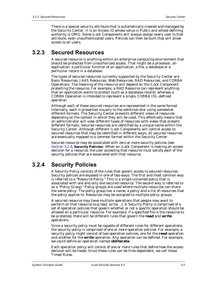There is a special security attribute that is automatically created and managed by the Security Center. It is an Access ID whose value is *Public* and whose defining authority is *OMG*. Some iLock Components will always assign every user to that attribute, even unauthenticated users. Policies can then be built that will allow access to all users.

## <span id="page-20-0"></span>**3.2.3 Secured Resources**

<span id="page-20-5"></span>A secured resource is anything within an enterprise computing environment that should be protected from unauthorized access. That might be a processor, an application, a particular function of an application, a file, a database or a particular record in a database.

<span id="page-20-4"></span><span id="page-20-3"></span><span id="page-20-2"></span>The types of secured resources currently supported by the Security Center are Basic Resources, JAAS Resources, Web Resources, RAD Resources, and CORBA Operations. The meaning of the resource will depend on the iLock Component protecting the resource. For example, a RAD Resource can represent anything that an application wants to protect (such as a database record), whereas a CORBA Operation is intended to represent a single, CORBA IDL-defined operation.

Although each of these secured resources are represented in the same format internally, each is presented visually to the administrator using somewhat different formats. The Security Center presents different views of resources depending on the context in which they will be used. This effectively means that an administrator will view different types of resources with views that present different formats. Secured resources are identified by a unique name within the Security Center. Although different iLock Components will control access to secured resources that may be identified in different ways, all secured resources are eventually mapped to a common format within the Security Center.

Secured resource may be associated with zero or more security policies (see Section 3.2.4, **[Security Policies](#page-20-1)**). When an iLock Component is making an access decision for a resource, the user accessing that resource must satisfy each of the security policies that are associated with that resource.

## <span id="page-20-1"></span>**3.2.4 Security Policies**

<span id="page-20-6"></span>A Security Policy consists of the rules that govern access to secured resources. Security policies are exposed in one of two ways. The first and most common way is referred to a "Resource Policy." This is a single unnamed policy that is associated with one and only one secured resource. The second way is referred to as a "Policy Group." Policy groups are used where multiple resources can share the same policy. The policy group has a name, a policy and a list of resources that the policy applies to. Resources may be assigned to multiple policy groups.

A secured resource may have multiple operations that people may want to perform on that resource (e.g read, write, ..). A Security Policy is comprised of a set of operation policies that govern whether or not a specific operation should be allowed on a particular resource. For example, if a specified file is the resource to be protected, there will be different rules that govern the **read** and **write** operations.

<span id="page-20-7"></span>Since a security policy must be capable of different rules for different operations, the security policy is comprised of one or more *operation policies*. For example, a security policy might consist of two operation policies, one for the **read** operation and another for the **write** operation. Any operation can be defined. For example, we could define an operation named **obliterate**.

Each operation policy will consist of one or more rules that define how the access decision will be made. Since these rules can be time dependent, we call these *Timed Rules*.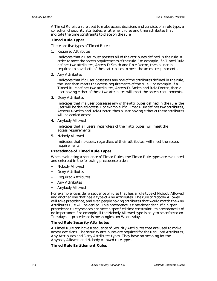<span id="page-21-1"></span>A Timed Rule is a rule used to make access decisions and consists of a rule type, a collection of security attributes, entitlement rules and time attributes that indicate the time constraints to place on the rule.

#### **Timed Rule Types**

There are five types of Timed Rules:

1. Required Attributes

<span id="page-21-7"></span>Indicates that a user must possess all of the attributes defined in the rule in order to meet the access requirements of the rule. For example, if a Timed Rule defines two attributes, *AccessID-Smith* and *Role-Doctor*, then a user is required to have both of these attributes to meet the access requirements.

2. Any Attributes

<span id="page-21-3"></span>Indicates that if a user possesses any one of the attributes defined in the rule, the user then meets the access requirements of the rule. For example, if a Timed Rule defines two attributes, *AccessID–Smith* and *Role-Doctor*, then a user having either of these two attributes will meet the access requirements.

3. Deny Attributes

<span id="page-21-5"></span>Indicates that if a user possesses any of the attributes defined in the rule, the user will be denied access. For example, if a Timed Rule defines two attributes, *AccessID–Smith* and *Role-Doctor*, then a user having either of these attributes will be denied access.

4. Anybody Allowed

<span id="page-21-4"></span>Indicates that all users, regardless of their attributes, will meet the access requirements.

5. Nobody Allowed

<span id="page-21-6"></span>Indicates that no users, regardless of their attributes, will meet the access requirements.

#### <span id="page-21-0"></span>**Precedence of Timed Rule Types**

When evaluating a sequence of Timed Rules, the Timed Rule types are evaluated and enforced in the following precedence order:

- **•** Nobody Allowed
- **•** Deny Attributes
- **•** Required Attributes
- **•** Any Attributes
- **•** Anybody Allowed

For example, consider a sequence of rules that has a rule type of Nobody Allowed and another one that has a type of Any Attributes. The rule of Nobody Allowed will take precedence, and even people having attributes that would match the Any Attributes rule will be denied. This precedence is time-dependent. If a higher precedence rule type does not meet a specified time constraint, its precedence is of no importance. For example, if the Nobody Allowed type is only to be enforced on Tuesdays, it precedence is meaningless on Wednesday.

#### <span id="page-21-2"></span>**Timed Rule Security Attributes**

A Timed Rule can have a sequence of Security Attributes that are used to make access decisions. The security attributes are required for the Required Attributes, Any Attributes and Deny Attributes types. They have no meaning for the Anybody Allowed and Nobody Allowed rule types.

#### **Timed Rule Entitlement Rules**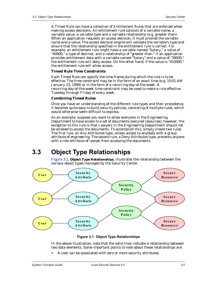A Timed Rule can have a collection of Entitlement Rules that are enforced when making access decisions. An entitlement rule consists of a variable name, a variable value, a variable type and a variable relationship (e.g. greater than). When an application requests an access decision, it must provide the variable name and a value. The access decision engine will validate the variable's type and ensure that the relationship specified in the entitlement rule is correct. For example, an entitlement rule might have a variable named "Salary," a value of "40000," a type of decimal, and a relationship of "greater than." If an application provides entitlement data with a variable named "Salary" and a value of "39000," the entitlement rule will deny access. On the other hand, if the value is "410000," the entitlement rule will allow access.

#### <span id="page-22-5"></span>**Timed Rule Time Constraints**

Each Timed Rule can specify the time frame during which the rule is to be effective. The time constraint may be in the form of an exact time (e.g. 10:01 AM January 23, 1999) or in the form of a recurring-day-of-the-week. A recurring-day-of-the-week time constraint may be used to make a rule effective Tuesday through Friday of every week.

#### <span id="page-22-2"></span>**Combining Timed Rules**

Once you have an understanding of the different rule types and their precedence, it becomes quite easy to build security policies, consisting of multiple rules, which would otherwise seem difficult to express.

<span id="page-22-4"></span>As an example, suppose you want to allow everyone in the Engineering Department to have access to a set of documents (secured resources); however, the exception to this rule is that Lawyers in the Engineering Department should not be allowed to access the documents. To accomplish this, simply create two rules. The first rule, an Any Attributes type, allows access to anybody with a group attribute of *engineering*. The second rule, a Deny Attributes type, prevents anyone with a role attribute of *lawyer* from accessing the documents.

# <span id="page-22-0"></span>**3.3 Object Type Relationships**

<span id="page-22-3"></span>Figure 3.1, **[Object Type Relationships](#page-22-1)**, illustrates the relationship between the various object types managed by the Security Center.



**Figure 3.1 Object Type Relationships**

<span id="page-22-1"></span>In the above illustration, note that the solid lines indicate a relationship between two data elements. Some important points to note about these relationships are:

**•** A user can be associated with zero or more security attributes.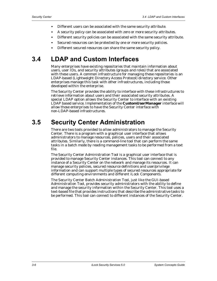- **•** Different users can be associated with the same security attribute.
- **•** A security policy can be associated with zero or more security attributes.
- **•** Different security policies can be associated with the same security attribute.
- **•** Secured resources can be protected by one or more security policies.
- **•** Different secured resources can share the same security policy.

# <span id="page-23-0"></span>**3.4 LDAP and Custom Interfaces**

Many enterprises have existing repositories that maintain information about users, user IDs, and security attributes (groups and roles) that are associated with these users. A common infrastructure for managing these repositories is an LDAP-based (Lightweight Directory Access Protocol) directory service. Other enterprises manage this task with other infrastructures, including those developed within the enterprise.

The Security Center provides the ability to interface with these infrastructures to retrieve information about users and their associated security attributes. A special LDAP option allows the Security Center to interface with an existing LDAP based service. Implementation of the **CustomUserManager** interface will allow those enterprises to have the Security Center interface with non-LDAP-based infrastructures.

# <span id="page-23-1"></span>**3.5 Security Center Administration**

There are two tools provided to allow administrators to manage the Security Center. There is a program with a graphical user interface that allows administrators to manage resources, policies, users and their associated attributes. Similarly, there is a command-line tool that can perform the same tasks in a batch mode by reading management tasks to be performed from a text file.

<span id="page-23-2"></span>The Security Center Administration Tool is a graphical user interface that is provided to manage Security Center instances. This tool can connect to any instance of a Security Center on the network and manage its resources. It can manage security policies, secured resource definitions and user/privilege information and can support multiple types of secured resources appropriate for different computing environments and different iLock Components.

<span id="page-23-3"></span>The Security Center Batch Administration Tool, just like the GUI-based Administration Tool, provides security administrators with the ability to define and manage the security information within the Security Center. This tool uses a text-based file that provides instructions that describe the administrative tasks to be performed. This tool can connect to different instances of the Security Center.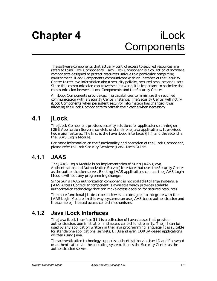<span id="page-24-0"></span>The software components that actually control access to secured resources are referred to as iLock Components. Each iLock Component is a collection of software components designed to protect resources unique to a particular computing environment. iLock Components communicate with an instance of the Security Center to retrieve information about security policies, secured resource and users. Since this communication can traverse a network, it is important to optimize the communication between iLock Components and the Security Center.

All iLock Components provide caching capabilities to minimize the required communication with a Security Center instance. The Security Center will notify iLock Components when persistent security information has changed, thus allowing the iLock Components to refresh their cache when necessary.

# <span id="page-24-1"></span>**4.1 jLock**

<span id="page-24-6"></span>The jLock Component provides security solutions for applications running on J2EE Application Servers, servlets or standalone Java applications. It provides two major features. The first is the Java iLock Interfaces (JII), and the second is the JAAS Login Module.

<span id="page-24-4"></span>For more information on the functionality and operation of the jLock Component, please refer to *iLock Security Services: jLock User's Guide*.

# <span id="page-24-2"></span>**4.1.1 JAAS**

The JAAS Login Module is an implementation of Sun's JAAS (Java Authentication and Authorization Service) interface that uses the Security Center as the authentication server. Existing JAAS applications can use the JAAS Login Module without any programming changes.

Since Sun's JAAS authorization component is not scalable to large systems, a JAAS Access Controller component is available which provides scalable authorization technology that can make access decision for secured resources.

The more functional JII described below is also designed to integrate with the JAAS Login Module. In this way, systems can use JAAS-based authentication and the scalable JII-based access control mechanisms.

# <span id="page-24-3"></span>**4.1.2 Java iLock Interfaces**

<span id="page-24-5"></span>The Java iLock Interface (JII) is a collection of Java classes that provide authentication, administration and access control functionality. The JII can be used by any application written in the Java programming language. It is suitable for standalone applications, servlets, EJBs and even CORBA-based applications written using Java.

The authentication technology supports authentication via User ID and Password or authentication via the operating system. It uses the Security Center as the authentication server.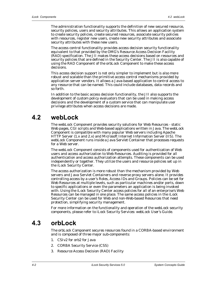The administration functionality supports the definition of new secured resource, security policies, users and security attributes. This allows an application system to create security policies, create secured resources, associate security policies with resources, register new users, create new security attributes and associate security attributes with these new users.

The access control functionality provides access decision security functionality equivalent to that provided by the OMG's Resource Access Decision Facility (RAD) specification. The JII makes these access decisions based on resources and security policies that are defined in the Security Center. The JII is also capable of using the RAD Component of the orbLock Component to make these access decisions.

This access decision support is not only simpler to implement but is also more robust and scalable than the primitive access control mechanisms provided by application server vendors. It allows a Java-based application to control access to any resource that can be named. This could include databases, data records and so forth.

In addition to the basic access decision functionality, the JII also supports the development of custom policy evaluators that can be used in making access decisions and the development of a custom service that can manipulate user privilege attributes when access decisions are made.

# <span id="page-25-0"></span>**4.2 webLock**

<span id="page-25-3"></span>The webLock Component provides security solutions for Web Resources - static Web pages, CGI scripts and Web-based applications written in Java. The webLock Component is compatible with many popular Web servers including Apache HTTP Server (1.x and 2.x) and Microsoft Internet Information Server (IIS). The webLock Component runs inside a Java Servlet Container that processes requests for a Web server.

The webLock Component consists of components used for authentication of Web users and access authorization to Web Resources. Auditing is provided for all authentication and access authorization attempts. These components can be used independently or together. They utilize the users and resource policies set up in the iLock Security Center.

The access authorization is more robust than the mechanism provided by Web servers and Java Servlet Containers and reverse proxy servers alone. It provides controlling access by a user's Roles, Access IDs and Groups. Policies can be set for Web Resources at multiple levels, such as particular machines and/or ports, down to specific applications or even the parameters an application is being invoked with. Using the iLock Security Center access policies for all of an enterprise's Web Resources can be managed in one place. The same access policies in the iLock Security Center can be used for Web and non-Web-based Resources that need protection, simplifying security management.

<span id="page-25-2"></span>For more information on the functionality and operation of the webLock security components, please refer to *iLock Security Services: webLock User's Guide*.

# <span id="page-25-1"></span>**4.3 orbLock**

The orbLock Component secures resources found in a CORBA-based environment and is composed of three major sub-components:

- 1. CSIv2 for orb2 for Java
- 2. CORBA Security Service (CSS)
- 3. Resource Access Decision (RAD) Facility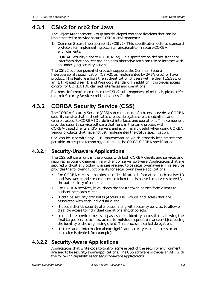# <span id="page-26-0"></span>**4.3.1 CSIv2 for orb2 for Java**

<span id="page-26-8"></span>The Object Management Group has developed two specifications that can be implemented to provide secure CORBA environments:

- <span id="page-26-10"></span><span id="page-26-4"></span>1. Common Secure Interoperability (CSIv2). This specification defines standard protocols for implementing security functionality in secure CORBA environments.
- <span id="page-26-7"></span><span id="page-26-5"></span>2. CORBA Security Service (CORBASec). This specification defines standard interfaces that applications and administrative tools can use to interact with an underlying security service.

The CSIv2 sub-component of orbLock supports the Common Secure Interoperability specification (CSIv2), as implemented by 2AB's orb2 for Java product. This feature allows the authentication of users with either TLS/SSL or an IETF-based User ID and Password standard. In addition, it provides access control for CORBA IDL-defined interfaces and operations.

<span id="page-26-6"></span>For more information on the on the CSIv2 sub-component of orbLock, please refer to *iLock Security Services: orbLock User's Guide*.

## <span id="page-26-1"></span>**4.3.2 CORBA Security Service (CSS)**

The CORBA Security Service (CSS) sub-component of orbLock provides a CORBA security service that authenticates clients, delegates client credentials and controls access to CORBA IDL-defined interfaces and operations. This component provides security service software that runs in the same process with CORBA-based clients and/or servers and is primarily useful when using CORBA vendor products that have not yet implemented the CSIv2 specification.

<span id="page-26-12"></span>CSS can be used with any ORB implementation which properly implements the portable interceptor technology defined in the OMG's CORBA specification.

### <span id="page-26-2"></span>**4.3.2.1 Security-Unaware Applications**

The CSS software runs in the process with both CORBA clients and services and requires no coding changes in any client or server software. Applications that are secured without any coding changes are said to be *security-unaware.* This service provides the following functionality for security-unaware applications:

- **•** For CORBA clients, it obtains user identification information (such as User ID and Password) and creates a secure token that is passed to services to verify the authenticity of a client.
- **•** For CORBA services, it validates the secure token passed from clients to authenticate each client.
- **•** It obtains security attributes (Access IDs, Groups and Roles) that are associated with each individual client.
- **•** It uses a client's security attributes, along with security policies, to allow or disallow access to individual operations and/or objects.
- **•** In multi-tier environments, it passes client identity across tiers, allowing the final target service to allow access to individual operations and/or objects using the identity of the originating client. This process is called delegation.
- <span id="page-26-11"></span><span id="page-26-9"></span>**•** It stores audit information about significant security events (access to an operation is denied, for example).

## <span id="page-26-3"></span>**4.3.2.2 Security-Aware Applications**

Applications that write code to control some aspect of the security environment are said to be *security-aware* applications. The CSS software provides an API with the following capabilities for security-aware applications.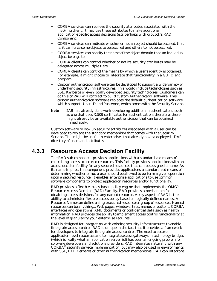- **•** CORBA services can retrieve the security attributes associated with the invoking client. It may use these attributes to make additional application-specific access decisions (e.g. perhaps with orbLock's RAD Component).
- **•** CORBA services can indicate whether or not an object should be secured, that is, it can force some objects to be secured and others to not be secured.
- **•** CORBA services can specify the name of the object domain that an individual object belongs to.
- **•** CORBA clients can control whether or not its security attributes may be delegated across multiple tiers.
- **•** CORBA clients can control the means by which a user's identity is obtained. For example, it might choose to integrate that functionality in a GUI client program.
- **•** Custom authenticator software can be developed to support a wide variety of underlying security infrastructures. This would include technologies such as SSL, Kerberos or even locally developed security technologies. Customers can do this or 2AB will contract to build custom Authenticator software. This custom authentication software replaces the default authentication software, which supports User ID and Password, which comes with the Security Service.
- **Note** 2AB has already done work developing additional authenticators, such as one that uses X.509 certificates for authentication; therefore, there might already be an available authenticator that can be obtained immediately.

Custom software to look up security attributes associated with a user can be developed to replace the standard mechanism that comes with the Security Service. This might be useful in enterprises that already have a deployed LDAP directory of users and attributes

## <span id="page-27-0"></span>**4.3.3 Resource Access Decision Facility**

<span id="page-27-2"></span><span id="page-27-1"></span>The RAD sub-component provides applications with a standardized means of controlling access to secured resources. This facility provides applications with an access decision facility for any secured resources that can be assigned a name. As its name implies, this component provides applications a standardized means of determining whether or not a user should be allowed to perform a given operation upon a secured resource. It enables enterprise applications to use common software components to protect application resources and/or functionality.

RAD provides a flexible, rules-based policy engine that implements the OMG's Resource Access Decision (RAD) Facility. RAD provides a mechanism for obtaining access decisions for any named resource. A key aspect of RAD is the ability to administer flexible access policy based on logically defined names. A Resource Name can define a single secured resource or group of resources. Named resources can be anything... Web pages, windows, tabs, menus or buttons, CORBA interfaces and operations, XML documents or confidential data such as health information. RAD provides the ability to implement access control functionality at the level of granularity your enterprise requires.

RAD is designed for integration with existing security infrastructures to enable fine-grain access control. RAD is unique in the fact that it provides a framework for developers to integrate fine-grain access control. The need to secure application-level resources and to integrate access gateways in technology bridges (which is really what an application server is!) has been an ongoing problem for software developers and solutions providers. RAD integrates naturally with any CORBA® security service implementation, but may also be used in environments with SSL, PKI, Kerberos or other authentication mechanisms. RAD can integrate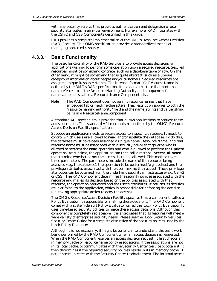with any security service that provides authentication and delegation of user security attributes in an n-tier environment. For example, RAD integrates with the CSIv2 and CSS Components described in this guide.

RAD provides a complete implementation of the OMG's Resource Access Decision (RAD) Facility. This OMG specification provides a standardized means of managing protected resources.

### <span id="page-28-0"></span>**4.3.3.1 Basic Functionality**

<span id="page-28-1"></span>The basic functionality of the RAD Service is to provide access decisions for applications wishing to perform some operation upon a secured resource. Secured resources might be something concrete, such as a database table or row. On the other hand, it might be something that is quite abstract, such as a unique category of information about people and/or customers. Secured resources are assigned unique Resource Names. The internal format of a Resource Name is defined by the OMG's RAD specification. It is a data structure that contains a name referred to as the Resource Naming Authority and a sequence of name-value pairs called a Resource Name Component List.

**Note** The RAD Component does not permit resource names that have embedded tab or newline characters. This restriction applies to both the "resource naming authority" field and the name\_string and value\_string pairs in a ResourceNameComponent.

A standard API mechanism is provided that allows applications to request these access decisions. This standard API mechanism is defined by the OMG's Resource Access Decision Facility specification.

Suppose an application needs to secure access to a specific database. It needs to control which users are allowed to **read** and/or **update** the database. To do this, the database must have been assigned a unique name (Resource Name) and that resource name must be associated with a security policy that governs who is allowed to perform the **read** operation and who is allowed to perform the **update** operation. At runtime, the application can then call a method, **access\_allowed**, to determine whether or not the access should be allowed. This method takes three parameters. The parameters include the name of the resource being accessed (e.g. the database), the operation to be performed (e.g. update) and the privilege attributes associated with the user making the request. These privilege attributes can be obtained from the underlying security infrastructure (e.g. CSIv2 or CSS). The RAD Component determines the security policies associated with the resource and makes its decision based on the policies associated with that resource, the operation requested and the user's attributes. It returns its decision (true or false) to the application, which is responsible for enforcing the decision (i.e. taking appropriate action to deny the access).

The OMG's Resource Access Decision Facility specifies that a component, called a *Policy Evaluator,* is responsible for making these decisions. The RAD Component comes with a system-default Policy Evaluator called the iLock Policy Evaluator. It uses time-based security policies to make these access decisions. Although this component is completely replaceable, it is anticipated that its features will meet a wide variety of enterprise security needs. Please see the *iLock Security Services: Security Center Guide* for a complete discussion of the security policies used by the iLock Policy Evaluator.

Although it is not necessary, it might be beneficial to understand the basic work being performed by the RAD Component when an access decision is requested. When the RAD Component receives an access decision request, it first checks an in memory cache of resource name policy associations. If the associations are not in its local cache, to communicates with the Security Center Service to obtain it. It then determines if the required security policies reside in its in memory cache. If not, it communicates with the Security Center to obtain them. The internal access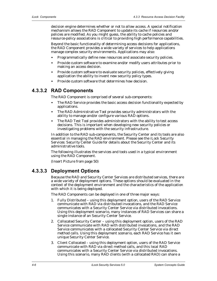decision engine determines whether or not to allow access. A special notification mechanism allows the RAD Component to update its cache if resources and/or policies are modified. As you might guess, the ability to cache policies and resource-policy associations is critical to providing high performance capabilities.

Beyond the basic functionality of determining access decisions for applications, the RAD Component provides a wide variety of services to help applications manage complex security environments. Applications may also:

- **•** Programmatically define new resources and associate security policies.
- **•** Provide custom software to examine and/or modify users attributes prior to making an access decision.
- **•** Provide custom software to evaluate security policies, effectively giving application the ability to invent new security policy types.
- <span id="page-29-3"></span>**•** Provide custom software that determines how decision.

#### <span id="page-29-0"></span>**4.3.3.2 RAD Components**

The RAD Component is comprised of several sub-components:

- **•** The RAD Service provides the basic access decision functionality expected by applications.
- **•** The RAD Administrative Tool provides security administrators with the ability to manage and/or configure various RAD options.
- **•** The RAD Test Tool provides administrators with the ability to test access decisions. This is important when developing new security policies or investigating problems with the security infrastructure.

In addition to the RAD sub-components, the Security Center and its tools are also essential in managing the RAD environment. Please see the *iLock Security Services: Security Center Guide* for details about the Security Center and its administrative tools.

The following illustrates the services and tools used in a typical environment using the RAD Component.

<span id="page-29-2"></span>(Insert Picture from page 50)

#### <span id="page-29-1"></span>**4.3.3.3 Deployment Options**

Because the RAD and Security Center Services are distributed services, there are a wide variety of deployment options. These options should be evaluated in the context of the deployment environment and the characteristics of the application with which it is being deployed.

The RAD Components can be deployed in one of three major ways:

- 1. Fully Distributed using this deployment option, users of the RAD Service communicate with RAD via distributed invocations, and the RAD Service communicates with a Security Center Service via distributed invocations. Using this deployment scenario, many instances of RAD Services can share a single instance of an Security Center Service.
- 2. Collocated Security Center using this deployment option, users of the RAD Service communicate with RAD with distributed invocations, and the RAD Service communicates with a collocated Security Center Service via direct method calls. Using this deployment scenario, each RAD Service has it own unique Security Center Service.
- 3. Client Collocated using this deployment option, users of the RAD Service communicate with RAD via direct method calls, and this local RAD communicates with a Security Center Service via distributed invocations. Using this scenario, many RAD clients (with a collocated RAD) can share a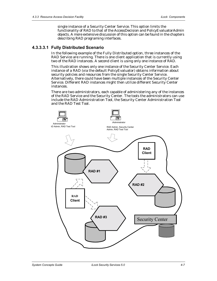single instance of a Security Center Service. This option limits the functionality of RAD to that of the AccessDecision and PolicyEvaluatorAdmin objects. A more extensive discussion of this option can be found in the chapters describing RAD programing interfaces.

#### <span id="page-30-0"></span>**4.3.3.3.1 Fully Distributed Scenario**

<span id="page-30-1"></span>In the following example of the Fully Distributed option, three instances of the RAD Service are running. There is one client application that is currently using two of the RAD instances. A second client is using only one instance of RAD.

This illustration shows only one instance of the Security Center Service. Each instance of a RAD (via the default PolicyEvaluator) obtains information about security policies and resources from the single Security Center Service. Alternatively, there could have been multiple instances of the Security Center Service. Different RAD instances might then utilize different Security Center instances.

There are two administrators, each capable of administering any of the instances of the RAD Service and the Security Center. The tools the administrators can use include the RAD Administration Tool, the Security Center Administration Tool and the RAD Test Tool.

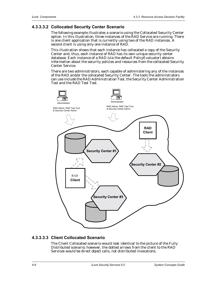#### <span id="page-31-0"></span>**4.3.3.3.2 Collocated Security Center Scenario**

<span id="page-31-3"></span>The following example illustrates a scenario using the Collocated Security Center option. In this illustration, three instances of the RAD Service are running. There is one client application that is currently using two of the RAD instances. A second client is using only one instance of RAD.

This illustration shows that each instance has collocated a copy of the Security Center and, thus, each instance of RAD has its own unique security center database. Each instance of a RAD (via the default PolicyEvaluator) obtains information about the security policies and resources from the collocated Security Center Service.

There are two administrators, each capable of administering any of the instances of the RAD and/or the collocated Security Center. The tools the administrators can use include the RAD Administration Tool, the Security Center Administration Tool and the RAD Test Tool.



#### <span id="page-31-1"></span>**4.3.3.3.3 Client Collocated Scenario**

<span id="page-31-2"></span>The Client Collocated scenario would look identical to the picture of the Fully Distributed scenario; however, the dotted arrows from the client to the RAD Services would be direct object calls, not distributed invocations.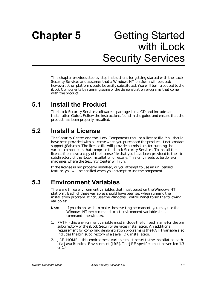# <span id="page-32-0"></span>**Chapter 5** Getting Started with **iLock** Security Services

This chapter provides step-by-step instructions for getting started with the iLock Security Services and assumes that a Windows NT platform will be used; however, other platforms could be easily substituted. You will be introduced to the iLock Components by running some of the demonstration programs that come with the product.

# <span id="page-32-1"></span>**5.1 Install the Product**

<span id="page-32-7"></span><span id="page-32-6"></span>The iLock Security Services software is packaged on a CD and includes an *Installation Guide*. Follow the instructions found in the guide and ensure that the product has been properly installed.

# <span id="page-32-2"></span>**5.2 Install a License**

The Security Center and the iLock Components require a license file. You should have been provided with a license when you purchased the product. If not, contact support@2ab.com. The license file will provide permissions for running the various components that comprise the iLock Security Services. To install the license file, move a copy of the license file that you have been provided to the *lib*  subdirectory of the iLock installation directory. This only needs to be done on machines where the Security Center will run.

If the license is not properly installed, or you attempt to use an unlicensed feature, you will be notified when you attempt to use the component.

# <span id="page-32-3"></span>**5.3 Environment Variables**

There are three environment variables that must be set on the Windows NT platform. Each of these variables should have been set when running the installation program. If not, use the Windows Control Panel to set the following variables:

- **Note** If you do not wish to make these setting permanent, you may use the Windows NT **set** command to set environment variables in a command-line window.
- <span id="page-32-5"></span>1. PATH - this environment variable must include the full path name for the *bin* subdirectory of the iLock Security Services installation. An additional requirement for compiling demonstration programs is the PATH variable also includes the *bin* subdirectory of a Java JDK installation.
- <span id="page-32-4"></span>2. JRE\_HOME – this environment variable must be set to the installation path of a Java Runtime Environment (JRE). The JRE specified must be version 1.3 or 1.4.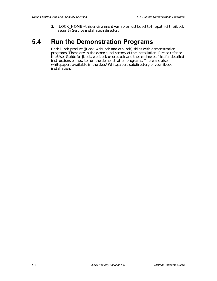<span id="page-33-2"></span><span id="page-33-1"></span>3. ILOCK\_HOME **-** this environment variable must be set to the path of the iLock Security Service installation directory.

# <span id="page-33-0"></span>**5.4 Run the Demonstration Programs**

Each iLock product (jLock, webLock and orbLock) ships with demonstration programs. These are in the *demo* subdirectory of the installation. Please refer to the User Guide for jLock, webLock or orbLock and the *readme.txt* files for detailed instructions on how to run the demonstration programs. There are also whitepapers available in the *docs/Whitepapers* subdirectory of your iLock installation.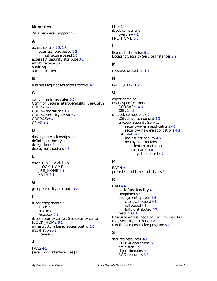#### **Numerics**

2AB Technical Support [1-v](#page-10-1)

#### **A**

access control [1-2](#page-13-3), [1-3](#page-14-2) business logic based [1-2](#page-13-4) infrastructure based [1-2](#page-13-5) access ID, security attribute [3-2](#page-19-1) attribute type [3-2](#page-19-2) auditing [1-3](#page-14-2) authentication [1-1](#page-12-3)

### **B**

business logic based access control [1-2](#page-13-4)

#### **C**

combining timed rules [3-5](#page-22-2) [Common Secure Interoperability. See CSIv2](#page-26-4) CORBA [4-3](#page-26-5) CORBA operations [3-3](#page-20-2) CORBA Security Service [4-3](#page-26-6) CORBASec [4-3](#page-26-7) CSIv2 [4-3](#page-26-8)

### **D**

data type relationships [3-5](#page-22-3) defining authority [3-2](#page-19-3) delegation [4-3](#page-26-9) deployment options [4-6](#page-29-2)

## **E**

environment variables ILOCK\_HOME [5-2](#page-33-1) JRE\_HOME [5-1](#page-32-4) PATH [5-1](#page-32-5)

## **G**

group, security attribute [3-2](#page-19-4)

#### **I**

iLock components [2-1](#page-16-3) jLock [2-1](#page-16-4) orbLock [2-1](#page-16-5) webLock [2-1](#page-16-6) [iLock security center. See security center](#page-18-4) ILOCK\_HOME [5-2](#page-33-1) infrastructure based access control [1-2](#page-13-5) installation [5-1](#page-32-6) license [5-1](#page-32-7)

#### **J**

JAAS [4-1](#page-24-4) [Java iLock Interface. See JII](#page-24-5) JII [4-1](#page-24-5) jLock component overview [4-1](#page-24-6) JRE HOME [5-1](#page-32-4)

#### **L**

license installation [5-1](#page-32-7) Locating Security Service Instances [2-2](#page-17-1)

#### **M**

message protection [1-1](#page-12-4)

#### **N**

naming service [2-2](#page-17-1)

### **O**

object domains [3-3](#page-20-3) OMG Specifications CORBASec [4-3](#page-26-7) CSIv2 [4-3](#page-26-10) orbLock component [4-2](#page-25-2) CSIv2 sub-component [4-3](#page-26-8) orbLock Security Service security-aware applications [4-3](#page-26-11) security-unaware applications [4-3](#page-26-12) RAD [4-4](#page-27-1), [4-6](#page-29-3) basic functionality [4-5](#page-28-1) deployment options client collocated [4-8](#page-31-2) collocated [4-8](#page-31-3) fully distributed [4-7](#page-30-1)

## **P**

PATH [5-1](#page-32-5) precedence of timed rule types [3-4](#page-21-0)

## **R**

RAD [4-4](#page-27-1) basic functionality [4-5](#page-28-1) components [4-6](#page-29-3) deployment options [4-6](#page-29-2) client collocated [4-8](#page-31-2) collocated [4-8](#page-31-3) fully distributed [4-7](#page-30-1) resources [3-3](#page-20-4) [Resource Access Decision Facility. See RAD](#page-27-2) role, security attribute [3-2](#page-19-5) run the demonstration program [5-2](#page-33-2)

#### **S**

secured resources [3-3](#page-20-5) CORBA operations [3-3](#page-20-2) definition [3-5](#page-22-4) object domains [3-3](#page-20-3) RAD resources [3-3](#page-20-4)